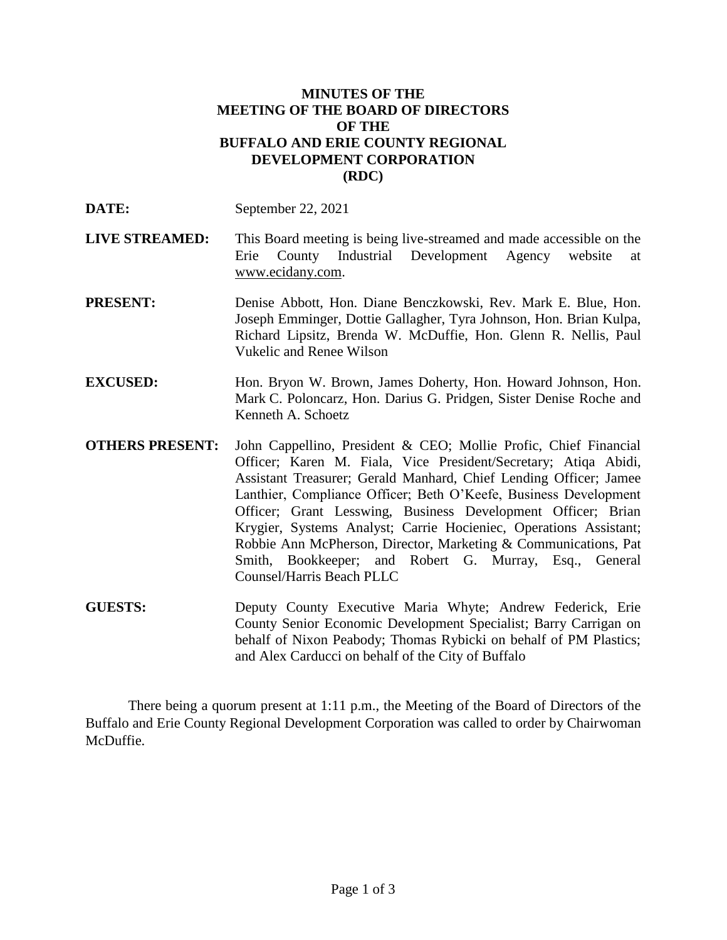## **MINUTES OF THE MEETING OF THE BOARD OF DIRECTORS OF THE BUFFALO AND ERIE COUNTY REGIONAL DEVELOPMENT CORPORATION (RDC)**

- **LIVE STREAMED:** This Board meeting is being live-streamed and made accessible on the Erie County Industrial Development Agency website at www.ecidany.com.
- **PRESENT:** Denise Abbott, Hon. Diane Benczkowski, Rev. Mark E. Blue, Hon. Joseph Emminger, Dottie Gallagher, Tyra Johnson, Hon. Brian Kulpa, Richard Lipsitz, Brenda W. McDuffie, Hon. Glenn R. Nellis, Paul Vukelic and Renee Wilson
- **EXCUSED:** Hon. Bryon W. Brown, James Doherty, Hon. Howard Johnson, Hon. Mark C. Poloncarz, Hon. Darius G. Pridgen, Sister Denise Roche and Kenneth A. Schoetz
- **OTHERS PRESENT:** John Cappellino, President & CEO; Mollie Profic, Chief Financial Officer; Karen M. Fiala, Vice President/Secretary; Atiqa Abidi, Assistant Treasurer; Gerald Manhard, Chief Lending Officer; Jamee Lanthier, Compliance Officer; Beth O'Keefe, Business Development Officer; Grant Lesswing, Business Development Officer; Brian Krygier, Systems Analyst; Carrie Hocieniec, Operations Assistant; Robbie Ann McPherson, Director, Marketing & Communications, Pat Smith, Bookkeeper; and Robert G. Murray, Esq., General Counsel/Harris Beach PLLC
- **GUESTS:** Deputy County Executive Maria Whyte; Andrew Federick, Erie County Senior Economic Development Specialist; Barry Carrigan on behalf of Nixon Peabody; Thomas Rybicki on behalf of PM Plastics; and Alex Carducci on behalf of the City of Buffalo

There being a quorum present at 1:11 p.m., the Meeting of the Board of Directors of the Buffalo and Erie County Regional Development Corporation was called to order by Chairwoman McDuffie.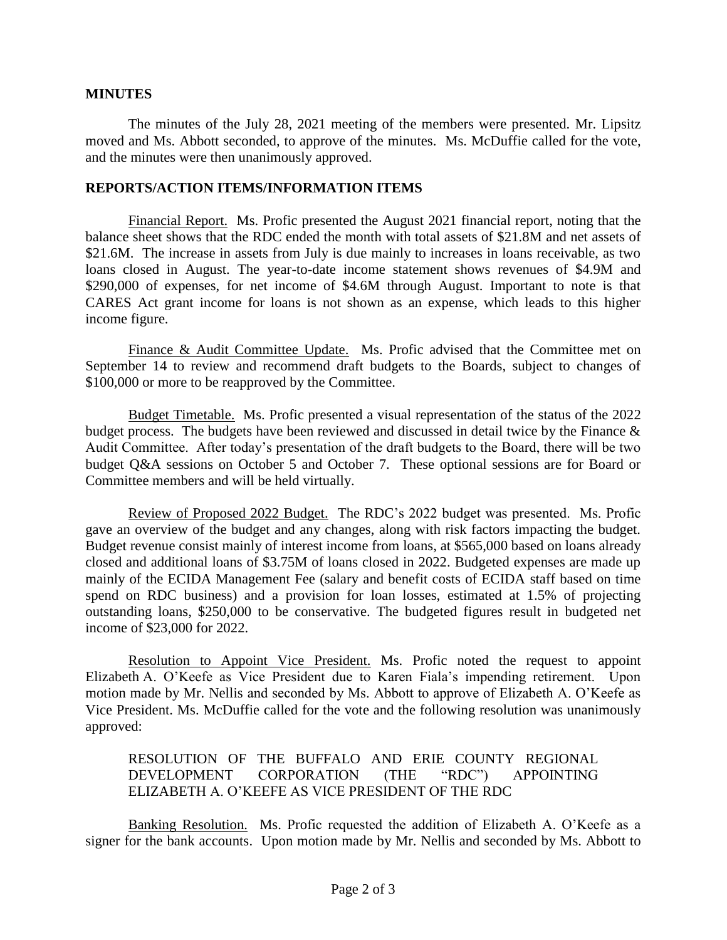## **MINUTES**

The minutes of the July 28, 2021 meeting of the members were presented. Mr. Lipsitz moved and Ms. Abbott seconded, to approve of the minutes. Ms. McDuffie called for the vote, and the minutes were then unanimously approved.

## **REPORTS/ACTION ITEMS/INFORMATION ITEMS**

Financial Report. Ms. Profic presented the August 2021 financial report, noting that the balance sheet shows that the RDC ended the month with total assets of \$21.8M and net assets of \$21.6M. The increase in assets from July is due mainly to increases in loans receivable, as two loans closed in August. The year-to-date income statement shows revenues of \$4.9M and \$290,000 of expenses, for net income of \$4.6M through August. Important to note is that CARES Act grant income for loans is not shown as an expense, which leads to this higher income figure.

Finance & Audit Committee Update. Ms. Profic advised that the Committee met on September 14 to review and recommend draft budgets to the Boards, subject to changes of \$100,000 or more to be reapproved by the Committee.

Budget Timetable. Ms. Profic presented a visual representation of the status of the 2022 budget process. The budgets have been reviewed and discussed in detail twice by the Finance & Audit Committee. After today's presentation of the draft budgets to the Board, there will be two budget Q&A sessions on October 5 and October 7. These optional sessions are for Board or Committee members and will be held virtually.

Review of Proposed 2022 Budget. The RDC's 2022 budget was presented. Ms. Profic gave an overview of the budget and any changes, along with risk factors impacting the budget. Budget revenue consist mainly of interest income from loans, at \$565,000 based on loans already closed and additional loans of \$3.75M of loans closed in 2022. Budgeted expenses are made up mainly of the ECIDA Management Fee (salary and benefit costs of ECIDA staff based on time spend on RDC business) and a provision for loan losses, estimated at 1.5% of projecting outstanding loans, \$250,000 to be conservative. The budgeted figures result in budgeted net income of \$23,000 for 2022.

Resolution to Appoint Vice President. Ms. Profic noted the request to appoint Elizabeth A. O'Keefe as Vice President due to Karen Fiala's impending retirement. Upon motion made by Mr. Nellis and seconded by Ms. Abbott to approve of Elizabeth A. O'Keefe as Vice President. Ms. McDuffie called for the vote and the following resolution was unanimously approved:

## RESOLUTION OF THE BUFFALO AND ERIE COUNTY REGIONAL DEVELOPMENT CORPORATION (THE "RDC") APPOINTING ELIZABETH A. O'KEEFE AS VICE PRESIDENT OF THE RDC

Banking Resolution. Ms. Profic requested the addition of Elizabeth A. O'Keefe as a signer for the bank accounts. Upon motion made by Mr. Nellis and seconded by Ms. Abbott to